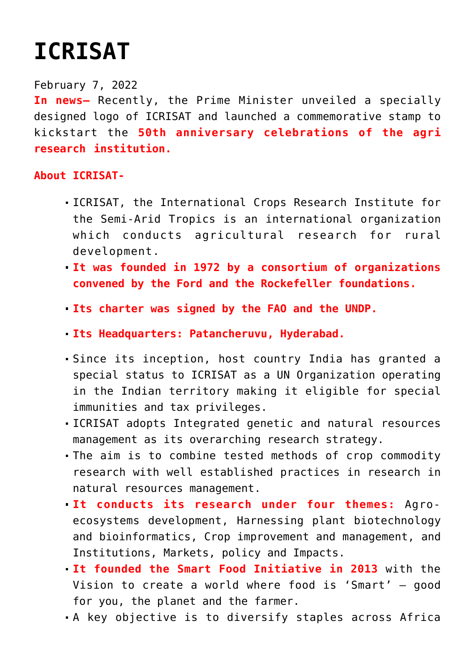## **[ICRISAT](https://journalsofindia.com/icrisat/)**

## February 7, 2022

**In news–** Recently, the Prime Minister unveiled a specially designed logo of ICRISAT and launched a commemorative stamp to kickstart the **50th anniversary celebrations of the agri research institution.**

## **About ICRISAT-**

- ICRISAT, the International Crops Research Institute for the Semi-Arid Tropics is an international organization which conducts agricultural research for rural development.
- **It was founded in 1972 by a consortium of organizations convened by the Ford and the Rockefeller foundations.**
- **Its charter was signed by the FAO and the UNDP.**
- **Its Headquarters: Patancheruvu, Hyderabad.**
- Since its inception, host country India has granted a special status to ICRISAT as a UN Organization operating in the Indian territory making it eligible for special immunities and tax privileges.
- ICRISAT adopts Integrated genetic and natural resources management as its overarching research strategy.
- The aim is to combine tested methods of crop commodity research with well established practices in research in natural resources management.
- **It conducts its research under four themes:** Agroecosystems development, Harnessing plant biotechnology and bioinformatics, Crop improvement and management, and Institutions, Markets, policy and Impacts.
- **It founded the Smart Food Initiative in 2013** with the Vision to create a world where food is 'Smart' – good for you, the planet and the farmer.
- A key objective is to diversify staples across Africa